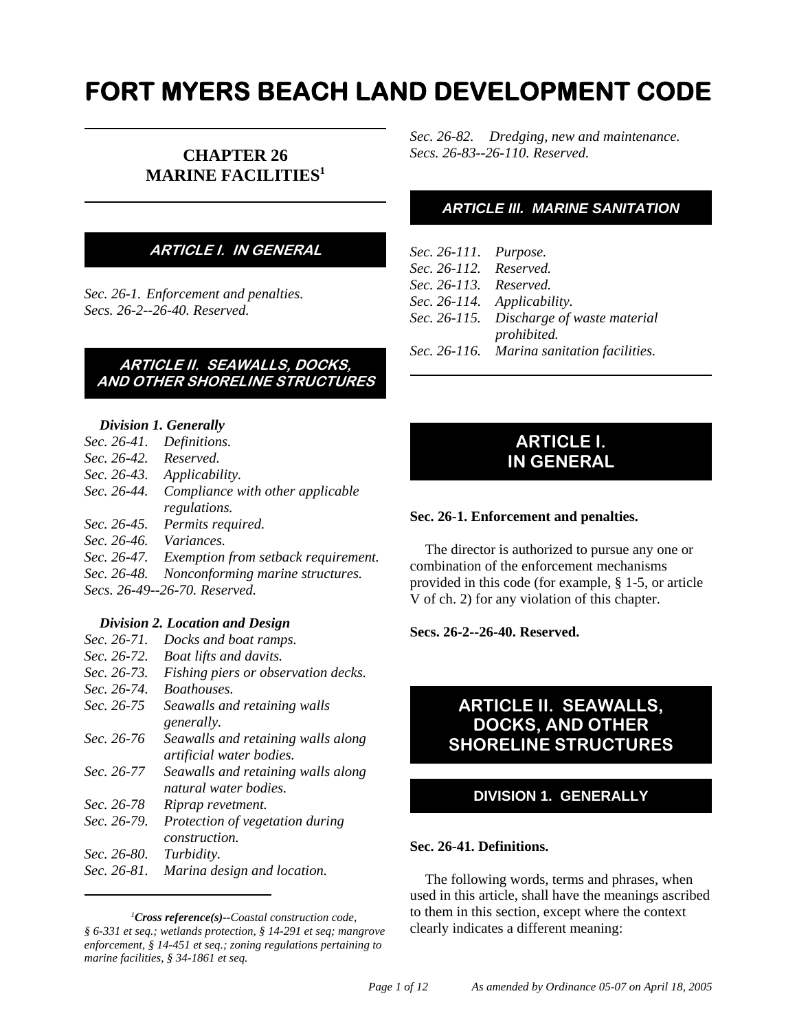# **FORT MYERS BEACH LAND DEVELOPMENT CODE**

# **CHAPTER 26 MARINE FACILITIES1**

# **ARTICLE I. IN GENERAL**

*Sec. 26-1. Enforcement and penalties. Secs. 26-2--26-40. Reserved.*

# **ARTICLE II. SEAWALLS, DOCKS, AND OTHER SHORELINE STRUCTURES**

#### *Division 1. Generally*

- *Sec. 26-41. Definitions. Sec. 26-42. Reserved. Sec. 26-43. Applicability. Sec. 26-44. Compliance with other applicable regulations. Sec. 26-45. Permits required.*
- *Sec. 26-46. Variances.*
- *Sec. 26-47. Exemption from setback requirement.*
- *Sec. 26-48. Nonconforming marine structures.*
- *Secs. 26-49--26-70. Reserved.*

# *Division 2. Location and Design*

| Sec. 26-71. | Docks and boat ramps.               |
|-------------|-------------------------------------|
| Sec. 26-72. | <b>Boat lifts and davits.</b>       |
| Sec. 26-73. | Fishing piers or observation decks. |
| Sec. 26-74. | <i>Boathouses.</i>                  |
| Sec. 26-75  | Seawalls and retaining walls        |
|             | generally.                          |
| Sec. 26-76  | Seawalls and retaining walls along  |
|             | artificial water bodies.            |
| Sec. 26-77  | Seawalls and retaining walls along  |
|             | natural water bodies.               |
| Sec. 26-78  | Riprap revetment.                   |
| Sec. 26-79. | Protection of vegetation during     |
|             | <i>construction</i> .               |
| Sec. 26-80. | Turbidity.                          |
| Sec. 26-81. | Marina design and location.         |
|             |                                     |

*1 Cross reference(s)--Coastal construction code, § 6-331 et seq.; wetlands protection, § 14-291 et seq; mangrove enforcement, § 14-451 et seq.; zoning regulations pertaining to marine facilities, § 34-1861 et seq.*

*Sec. 26-82. Dredging, new and maintenance. Secs. 26-83--26-110. Reserved.*

# *ARTICLE III. MARINE SANITATION*

| Sec. 26-111. Purpose.  |                                            |
|------------------------|--------------------------------------------|
| Sec. 26-112. Reserved. |                                            |
| Sec. 26-113. Reserved. |                                            |
|                        | Sec. 26-114. Applicability.                |
|                        | Sec. 26-115. Discharge of waste material   |
|                        | prohibited.                                |
|                        | Sec. 26-116. Marina sanitation facilities. |

# **ARTICLE I. IN GENERAL**

#### **Sec. 26-1. Enforcement and penalties.**

The director is authorized to pursue any one or combination of the enforcement mechanisms provided in this code (for example, § 1-5, or article V of ch. 2) for any violation of this chapter.

#### **Secs. 26-2--26-40. Reserved.**

# **ARTICLE II. SEAWALLS, DOCKS, AND OTHER SHORELINE STRUCTURES**

# **DIVISION 1. GENERALLY**

#### **Sec. 26-41. Definitions.**

The following words, terms and phrases, when used in this article, shall have the meanings ascribed to them in this section, except where the context clearly indicates a different meaning: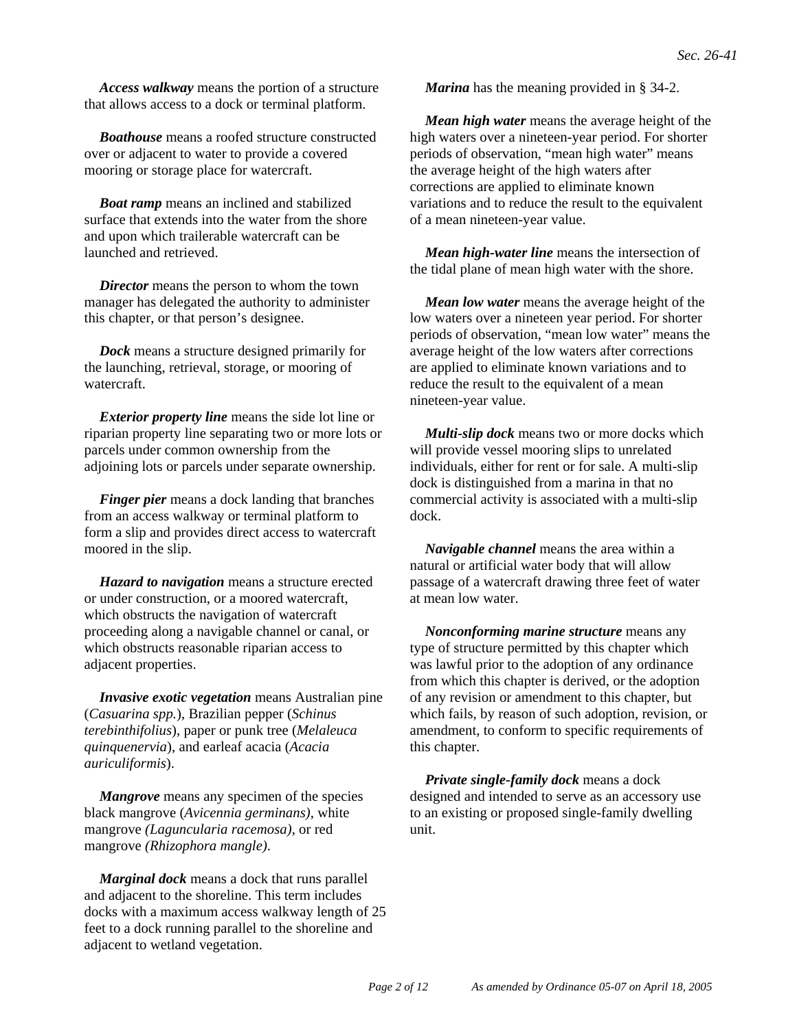*Access walkway* means the portion of a structure that allows access to a dock or terminal platform.

*Boathouse* means a roofed structure constructed over or adjacent to water to provide a covered mooring or storage place for watercraft.

*Boat ramp* means an inclined and stabilized surface that extends into the water from the shore and upon which trailerable watercraft can be launched and retrieved.

*Director* means the person to whom the town manager has delegated the authority to administer this chapter, or that person's designee.

*Dock* means a structure designed primarily for the launching, retrieval, storage, or mooring of watercraft.

*Exterior property line* means the side lot line or riparian property line separating two or more lots or parcels under common ownership from the adjoining lots or parcels under separate ownership.

*Finger pier* means a dock landing that branches from an access walkway or terminal platform to form a slip and provides direct access to watercraft moored in the slip.

*Hazard to navigation* means a structure erected or under construction, or a moored watercraft, which obstructs the navigation of watercraft proceeding along a navigable channel or canal, or which obstructs reasonable riparian access to adjacent properties.

*Invasive exotic vegetation* means Australian pine (*Casuarina spp.*), Brazilian pepper (*Schinus terebinthifolius*), paper or punk tree (*Melaleuca quinquenervia*), and earleaf acacia (*Acacia auriculiformis*).

*Mangrove* means any specimen of the species black mangrove (*Avicennia germinans)*, white mangrove *(Laguncularia racemosa)*, or red mangrove *(Rhizophora mangle)*.

*Marginal dock* means a dock that runs parallel and adjacent to the shoreline. This term includes docks with a maximum access walkway length of 25 feet to a dock running parallel to the shoreline and adjacent to wetland vegetation.

*Marina* has the meaning provided in § 34-2.

*Mean high water* means the average height of the high waters over a nineteen-year period. For shorter periods of observation, "mean high water" means the average height of the high waters after corrections are applied to eliminate known variations and to reduce the result to the equivalent of a mean nineteen-year value.

*Mean high-water line* means the intersection of the tidal plane of mean high water with the shore.

*Mean low water* means the average height of the low waters over a nineteen year period. For shorter periods of observation, "mean low water" means the average height of the low waters after corrections are applied to eliminate known variations and to reduce the result to the equivalent of a mean nineteen-year value.

*Multi-slip dock* means two or more docks which will provide vessel mooring slips to unrelated individuals, either for rent or for sale. A multi-slip dock is distinguished from a marina in that no commercial activity is associated with a multi-slip dock.

*Navigable channel* means the area within a natural or artificial water body that will allow passage of a watercraft drawing three feet of water at mean low water.

*Nonconforming marine structure* means any type of structure permitted by this chapter which was lawful prior to the adoption of any ordinance from which this chapter is derived, or the adoption of any revision or amendment to this chapter, but which fails, by reason of such adoption, revision, or amendment, to conform to specific requirements of this chapter.

*Private single-family dock* means a dock designed and intended to serve as an accessory use to an existing or proposed single-family dwelling unit.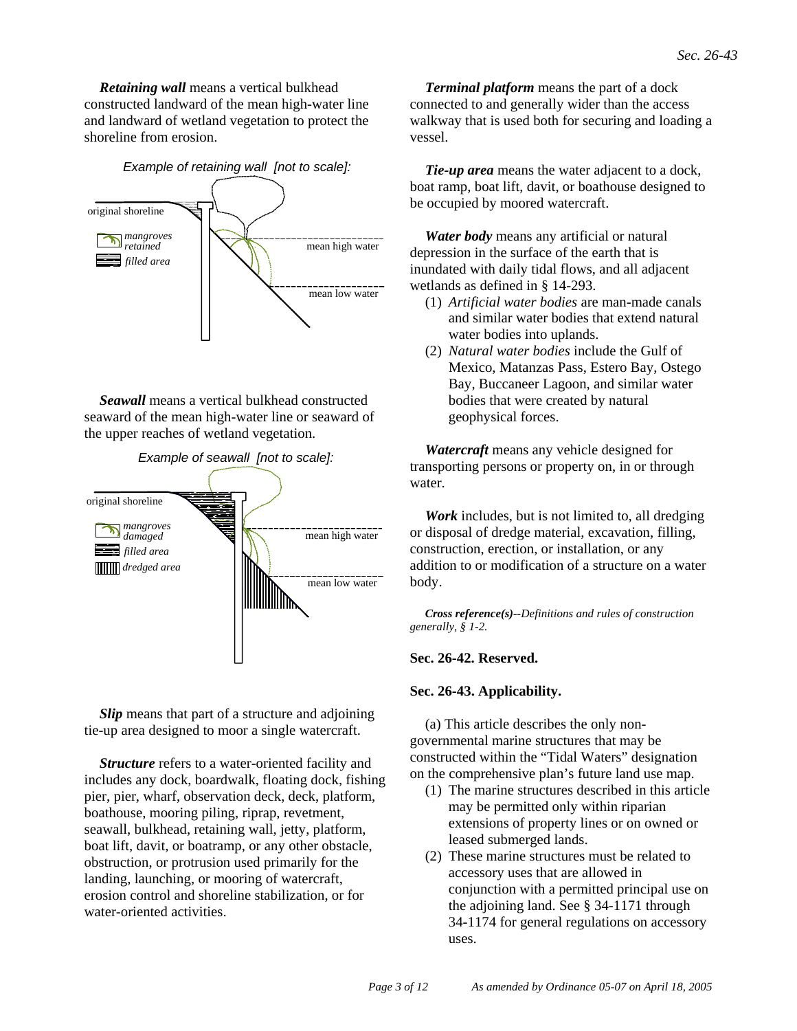*Retaining wall* means a vertical bulkhead constructed landward of the mean high-water line and landward of wetland vegetation to protect the shoreline from erosion.



*Seawall* means a vertical bulkhead constructed seaward of the mean high-water line or seaward of the upper reaches of wetland vegetation.



*Slip* means that part of a structure and adjoining tie-up area designed to moor a single watercraft.

*Structure* refers to a water-oriented facility and includes any dock, boardwalk, floating dock, fishing pier, pier, wharf, observation deck, deck, platform, boathouse, mooring piling, riprap, revetment, seawall, bulkhead, retaining wall, jetty, platform, boat lift, davit, or boatramp, or any other obstacle, obstruction, or protrusion used primarily for the landing, launching, or mooring of watercraft, erosion control and shoreline stabilization, or for water-oriented activities.

*Terminal platform* means the part of a dock connected to and generally wider than the access walkway that is used both for securing and loading a vessel.

*Tie-up area* means the water adjacent to a dock, boat ramp, boat lift, davit, or boathouse designed to be occupied by moored watercraft.

*Water body* means any artificial or natural depression in the surface of the earth that is inundated with daily tidal flows, and all adjacent wetlands as defined in § 14-293.

- (1) *Artificial water bodies* are man-made canals and similar water bodies that extend natural water bodies into uplands.
- (2) *Natural water bodies* include the Gulf of Mexico, Matanzas Pass, Estero Bay, Ostego Bay, Buccaneer Lagoon, and similar water bodies that were created by natural geophysical forces.

*Watercraft* means any vehicle designed for transporting persons or property on, in or through water.

*Work* includes, but is not limited to, all dredging or disposal of dredge material, excavation, filling, construction, erection, or installation, or any addition to or modification of a structure on a water body.

*Cross reference(s)--Definitions and rules of construction generally, § 1-2.*

# **Sec. 26-42. Reserved.**

## **Sec. 26-43. Applicability.**

(a) This article describes the only nongovernmental marine structures that may be constructed within the "Tidal Waters" designation on the comprehensive plan's future land use map.

- (1) The marine structures described in this article may be permitted only within riparian extensions of property lines or on owned or leased submerged lands.
- (2) These marine structures must be related to accessory uses that are allowed in conjunction with a permitted principal use on the adjoining land. See § 34-1171 through 34-1174 for general regulations on accessory uses.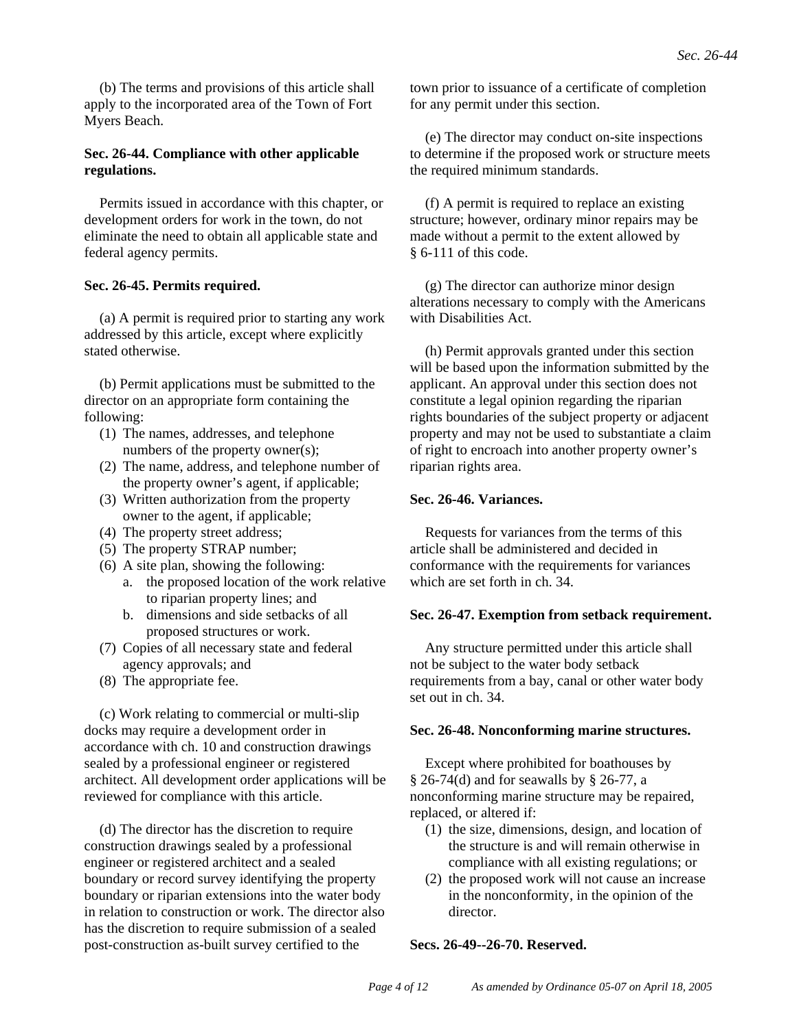(b) The terms and provisions of this article shall apply to the incorporated area of the Town of Fort Myers Beach.

# **Sec. 26-44. Compliance with other applicable regulations.**

Permits issued in accordance with this chapter, or development orders for work in the town, do not eliminate the need to obtain all applicable state and federal agency permits.

## **Sec. 26-45. Permits required.**

(a) A permit is required prior to starting any work addressed by this article, except where explicitly stated otherwise.

(b) Permit applications must be submitted to the director on an appropriate form containing the following:

- (1) The names, addresses, and telephone numbers of the property owner(s);
- (2) The name, address, and telephone number of the property owner's agent, if applicable;
- (3) Written authorization from the property owner to the agent, if applicable;
- (4) The property street address;
- (5) The property STRAP number;
- (6) A site plan, showing the following:
	- a. the proposed location of the work relative to riparian property lines; and
	- b. dimensions and side setbacks of all proposed structures or work.
- (7) Copies of all necessary state and federal agency approvals; and
- (8) The appropriate fee.

(c) Work relating to commercial or multi-slip docks may require a development order in accordance with ch. 10 and construction drawings sealed by a professional engineer or registered architect. All development order applications will be reviewed for compliance with this article.

(d) The director has the discretion to require construction drawings sealed by a professional engineer or registered architect and a sealed boundary or record survey identifying the property boundary or riparian extensions into the water body in relation to construction or work. The director also has the discretion to require submission of a sealed post-construction as-built survey certified to the

town prior to issuance of a certificate of completion for any permit under this section.

(e) The director may conduct on-site inspections to determine if the proposed work or structure meets the required minimum standards.

(f) A permit is required to replace an existing structure; however, ordinary minor repairs may be made without a permit to the extent allowed by § 6-111 of this code.

(g) The director can authorize minor design alterations necessary to comply with the Americans with Disabilities Act.

(h) Permit approvals granted under this section will be based upon the information submitted by the applicant. An approval under this section does not constitute a legal opinion regarding the riparian rights boundaries of the subject property or adjacent property and may not be used to substantiate a claim of right to encroach into another property owner's riparian rights area.

## **Sec. 26-46. Variances.**

Requests for variances from the terms of this article shall be administered and decided in conformance with the requirements for variances which are set forth in ch. 34.

## **Sec. 26-47. Exemption from setback requirement.**

Any structure permitted under this article shall not be subject to the water body setback requirements from a bay, canal or other water body set out in ch. 34.

## **Sec. 26-48. Nonconforming marine structures.**

Except where prohibited for boathouses by § 26-74(d) and for seawalls by § 26-77, a nonconforming marine structure may be repaired, replaced, or altered if:

- (1) the size, dimensions, design, and location of the structure is and will remain otherwise in compliance with all existing regulations; or
- (2) the proposed work will not cause an increase in the nonconformity, in the opinion of the director.

## **Secs. 26-49--26-70. Reserved.**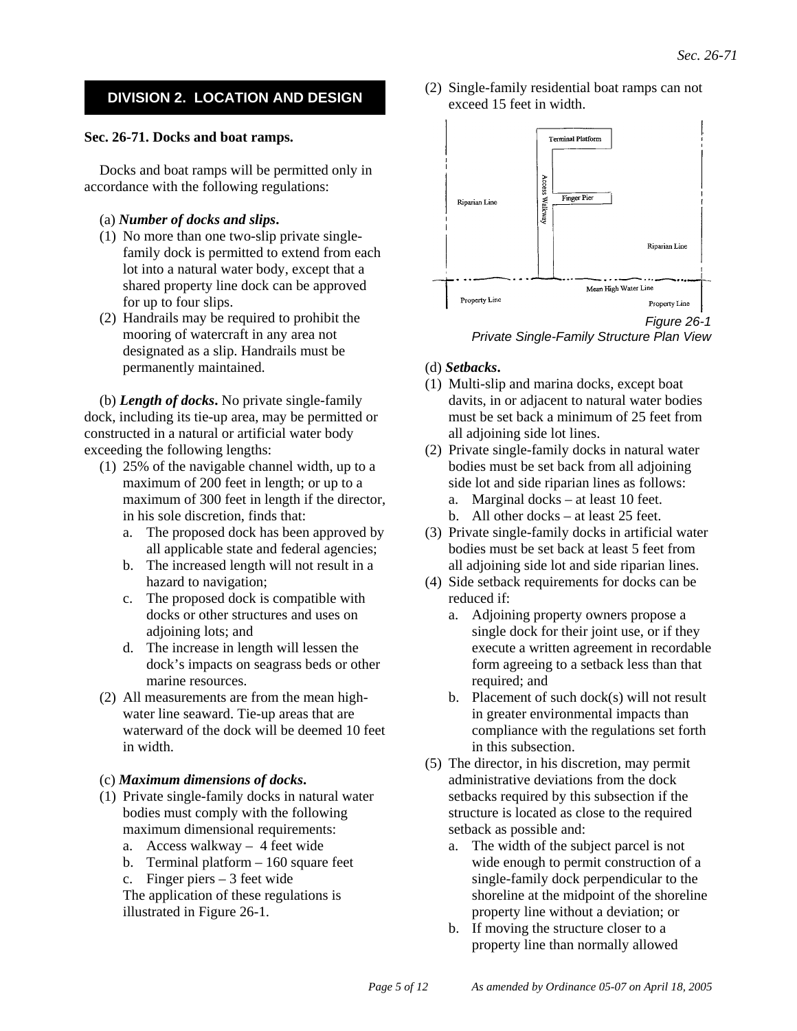# **DIVISION 2. LOCATION AND DESIGN**

#### **Sec. 26-71. Docks and boat ramps.**

Docks and boat ramps will be permitted only in accordance with the following regulations:

#### (a) *Number of docks and slips***.**

- (1) No more than one two-slip private singlefamily dock is permitted to extend from each lot into a natural water body, except that a shared property line dock can be approved for up to four slips.
- (2) Handrails may be required to prohibit the mooring of watercraft in any area not designated as a slip. Handrails must be permanently maintained.

(b) *Length of docks***.** No private single-family dock, including its tie-up area, may be permitted or constructed in a natural or artificial water body exceeding the following lengths:

- (1) 25% of the navigable channel width, up to a maximum of 200 feet in length; or up to a maximum of 300 feet in length if the director, in his sole discretion, finds that:
	- a. The proposed dock has been approved by all applicable state and federal agencies;
	- b. The increased length will not result in a hazard to navigation;
	- c. The proposed dock is compatible with docks or other structures and uses on adjoining lots; and
	- d. The increase in length will lessen the dock's impacts on seagrass beds or other marine resources.
- (2) All measurements are from the mean highwater line seaward. Tie-up areas that are waterward of the dock will be deemed 10 feet in width.

#### (c) *Maximum dimensions of docks***.**

- (1) Private single-family docks in natural water bodies must comply with the following maximum dimensional requirements:
	- a. Access walkway 4 feet wide
	- b. Terminal platform  $-160$  square feet
	- c. Finger piers 3 feet wide
	- The application of these regulations is illustrated in Figure 26-1.

(2) Single-family residential boat ramps can not exceed 15 feet in width.





#### (d) *Setbacks***.**

- (1) Multi-slip and marina docks, except boat davits, in or adjacent to natural water bodies must be set back a minimum of 25 feet from all adjoining side lot lines.
- (2) Private single-family docks in natural water bodies must be set back from all adjoining side lot and side riparian lines as follows: a. Marginal docks – at least 10 feet.
	-
	- b. All other docks at least 25 feet.
- (3) Private single-family docks in artificial water bodies must be set back at least 5 feet from all adjoining side lot and side riparian lines.
- (4) Side setback requirements for docks can be reduced if:
	- a. Adjoining property owners propose a single dock for their joint use, or if they execute a written agreement in recordable form agreeing to a setback less than that required; and
	- b. Placement of such dock(s) will not result in greater environmental impacts than compliance with the regulations set forth in this subsection.
- (5) The director, in his discretion, may permit administrative deviations from the dock setbacks required by this subsection if the structure is located as close to the required setback as possible and:
	- a. The width of the subject parcel is not wide enough to permit construction of a single-family dock perpendicular to the shoreline at the midpoint of the shoreline property line without a deviation; or
	- b. If moving the structure closer to a property line than normally allowed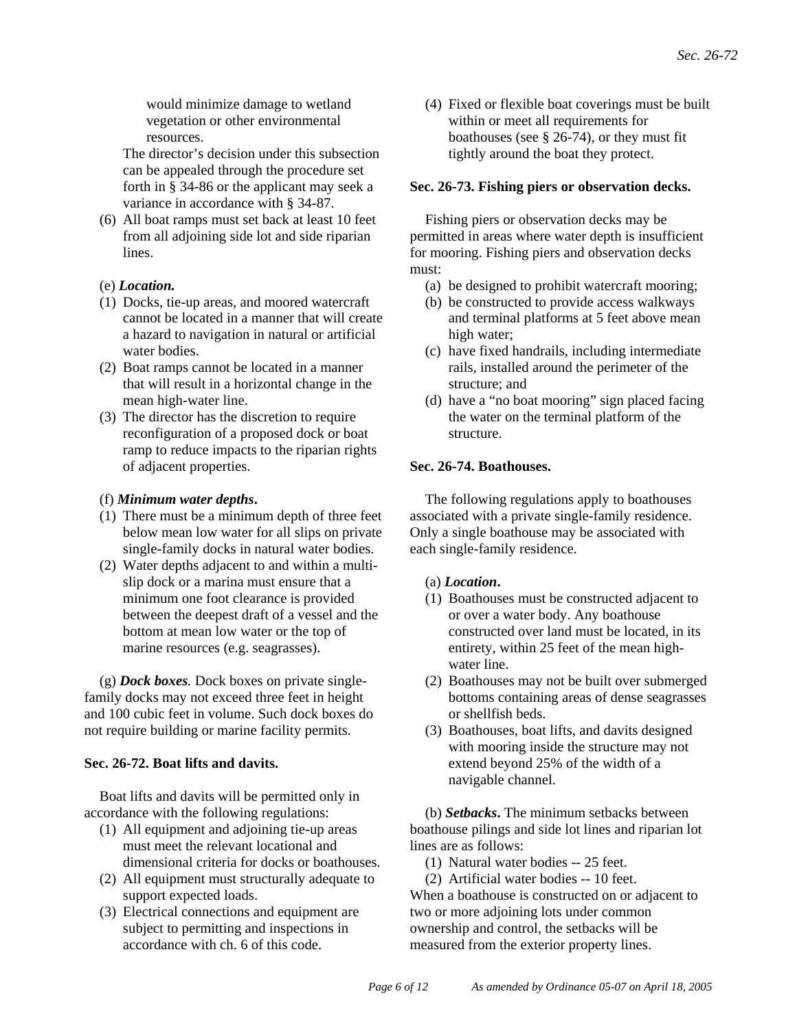would minimize damage to wetland vegetation or other environmental resources.

The director's decision under this subsection can be appealed through the procedure set forth in § 34-86 or the applicant may seek a variance in accordance with § 34-87.

(6) All boat ramps must set back at least 10 feet from all adjoining side lot and side riparian lines.

## (e) *Location.*

- (1) Docks, tie-up areas, and moored watercraft cannot be located in a manner that will create a hazard to navigation in natural or artificial water bodies.
- (2) Boat ramps cannot be located in a manner that will result in a horizontal change in the mean high-water line.
- (3) The director has the discretion to require reconfiguration of a proposed dock or boat ramp to reduce impacts to the riparian rights of adjacent properties.

#### (f) *Minimum water depths***.**

- (1) There must be a minimum depth of three feet below mean low water for all slips on private single-family docks in natural water bodies.
- (2) Water depths adjacent to and within a multislip dock or a marina must ensure that a minimum one foot clearance is provided between the deepest draft of a vessel and the bottom at mean low water or the top of marine resources (e.g. seagrasses).

(g) *Dock boxes.* Dock boxes on private singlefamily docks may not exceed three feet in height and 100 cubic feet in volume. Such dock boxes do not require building or marine facility permits.

## **Sec. 26-72. Boat lifts and davits.**

Boat lifts and davits will be permitted only in accordance with the following regulations:

- (1) All equipment and adjoining tie-up areas must meet the relevant locational and dimensional criteria for docks or boathouses.
- (2) All equipment must structurally adequate to support expected loads.
- (3) Electrical connections and equipment are subject to permitting and inspections in accordance with ch. 6 of this code.

(4) Fixed or flexible boat coverings must be built within or meet all requirements for boathouses (see § 26-74), or they must fit tightly around the boat they protect.

### **Sec. 26-73. Fishing piers or observation decks.**

Fishing piers or observation decks may be permitted in areas where water depth is insufficient for mooring. Fishing piers and observation decks must:

- (a) be designed to prohibit watercraft mooring;
- (b) be constructed to provide access walkways and terminal platforms at 5 feet above mean high water;
- (c) have fixed handrails, including intermediate rails, installed around the perimeter of the structure; and
- (d) have a "no boat mooring" sign placed facing the water on the terminal platform of the structure.

#### **Sec. 26-74. Boathouses.**

The following regulations apply to boathouses associated with a private single-family residence. Only a single boathouse may be associated with each single-family residence.

## (a) *Location***.**

- (1) Boathouses must be constructed adjacent to or over a water body. Any boathouse constructed over land must be located, in its entirety, within 25 feet of the mean highwater line.
- (2) Boathouses may not be built over submerged bottoms containing areas of dense seagrasses or shellfish beds.
- (3) Boathouses, boat lifts, and davits designed with mooring inside the structure may not extend beyond 25% of the width of a navigable channel.

(b) *Setbacks***.** The minimum setbacks between boathouse pilings and side lot lines and riparian lot lines are as follows:

(1) Natural water bodies -- 25 feet.

(2) Artificial water bodies -- 10 feet. When a boathouse is constructed on or adjacent to two or more adjoining lots under common ownership and control, the setbacks will be measured from the exterior property lines.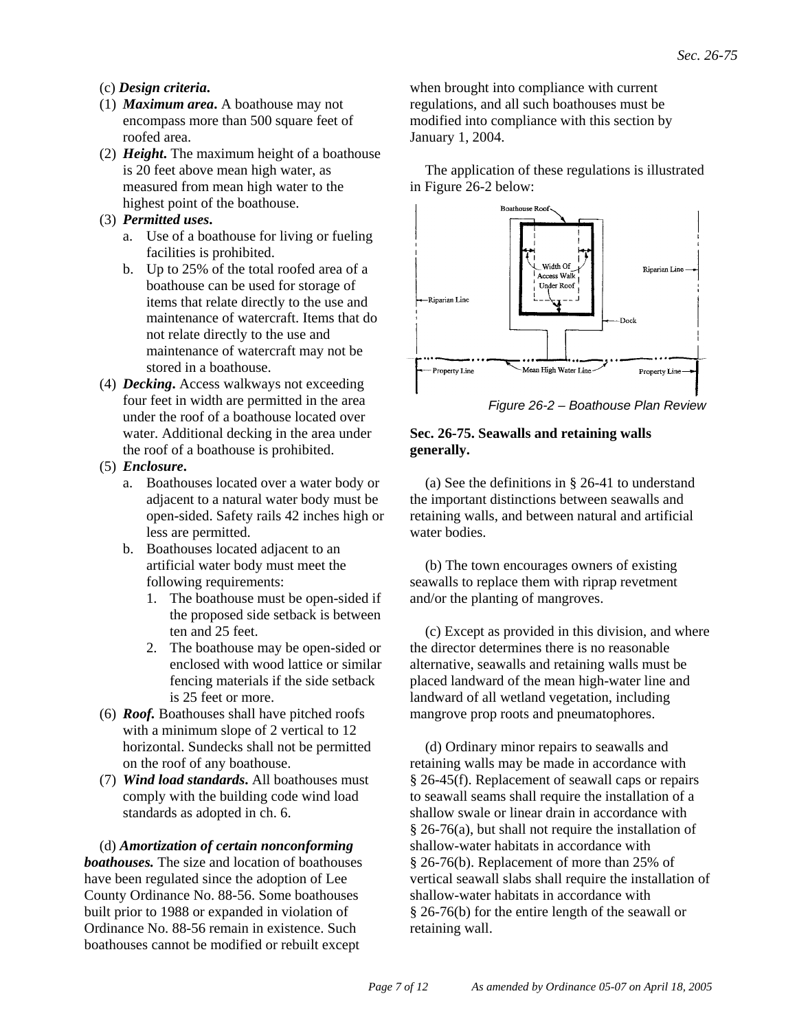# (c) *Design criteria***.**

- (1) *Maximum area***.** A boathouse may not encompass more than 500 square feet of roofed area.
- (2) *Height***.** The maximum height of a boathouse is 20 feet above mean high water, as measured from mean high water to the highest point of the boathouse.

# (3) *Permitted uses***.**

- a. Use of a boathouse for living or fueling facilities is prohibited.
- b. Up to 25% of the total roofed area of a boathouse can be used for storage of items that relate directly to the use and maintenance of watercraft. Items that do not relate directly to the use and maintenance of watercraft may not be stored in a boathouse.
- (4) *Decking***.** Access walkways not exceeding four feet in width are permitted in the area under the roof of a boathouse located over water. Additional decking in the area under the roof of a boathouse is prohibited.
- (5) *Enclosure***.**
	- a. Boathouses located over a water body or adjacent to a natural water body must be open-sided. Safety rails 42 inches high or less are permitted.
	- b. Boathouses located adjacent to an artificial water body must meet the following requirements:
		- 1. The boathouse must be open-sided if the proposed side setback is between ten and 25 feet.
		- 2. The boathouse may be open-sided or enclosed with wood lattice or similar fencing materials if the side setback is 25 feet or more.
- (6) *Roof.* Boathouses shall have pitched roofs with a minimum slope of 2 vertical to 12 horizontal. Sundecks shall not be permitted on the roof of any boathouse.
- (7) *Wind load standards***.** All boathouses must comply with the building code wind load standards as adopted in ch. 6.

(d) *Amortization of certain nonconforming boathouses.* The size and location of boathouses have been regulated since the adoption of Lee County Ordinance No. 88-56. Some boathouses built prior to 1988 or expanded in violation of Ordinance No. 88-56 remain in existence. Such boathouses cannot be modified or rebuilt except

when brought into compliance with current regulations, and all such boathouses must be modified into compliance with this section by January 1, 2004.

The application of these regulations is illustrated in Figure 26-2 below:



*Figure 26-2 – Boathouse Plan Review*

# **Sec. 26-75. Seawalls and retaining walls generally.**

(a) See the definitions in § 26-41 to understand the important distinctions between seawalls and retaining walls, and between natural and artificial water bodies.

(b) The town encourages owners of existing seawalls to replace them with riprap revetment and/or the planting of mangroves.

(c) Except as provided in this division, and where the director determines there is no reasonable alternative, seawalls and retaining walls must be placed landward of the mean high-water line and landward of all wetland vegetation, including mangrove prop roots and pneumatophores.

(d) Ordinary minor repairs to seawalls and retaining walls may be made in accordance with § 26-45(f). Replacement of seawall caps or repairs to seawall seams shall require the installation of a shallow swale or linear drain in accordance with § 26-76(a), but shall not require the installation of shallow-water habitats in accordance with § 26-76(b). Replacement of more than 25% of vertical seawall slabs shall require the installation of shallow-water habitats in accordance with § 26-76(b) for the entire length of the seawall or retaining wall.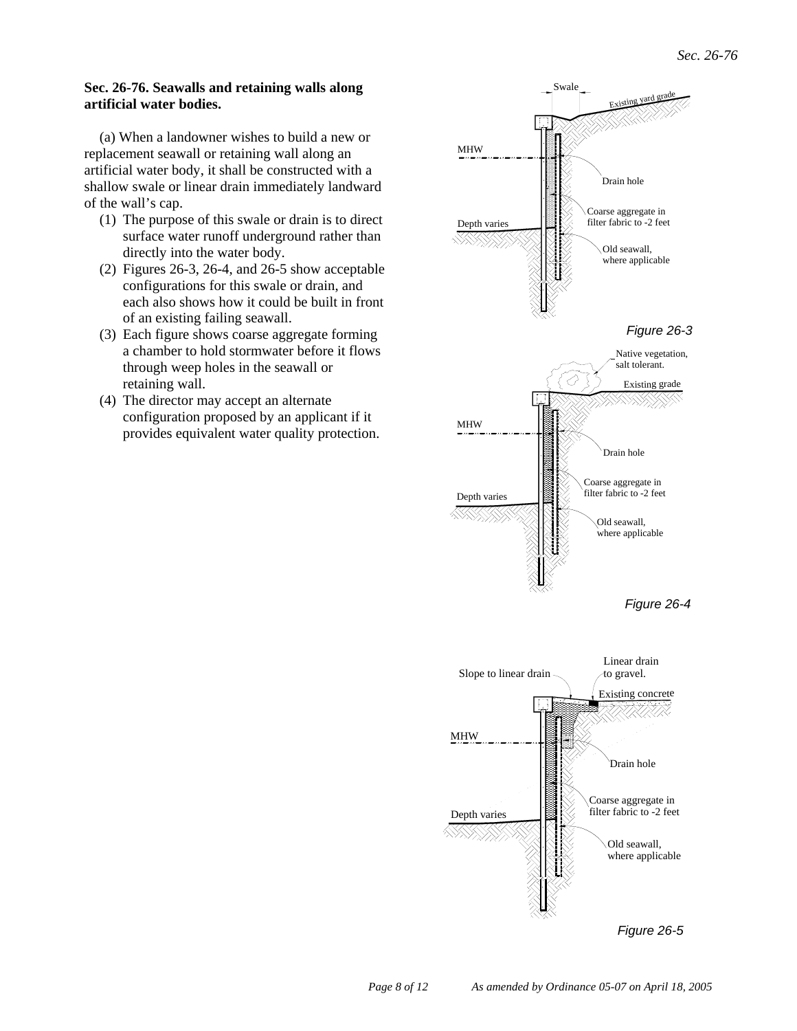#### **Sec. 26-76. Seawalls and retaining walls along artificial water bodies.**

(a) When a landowner wishes to build a new or replacement seawall or retaining wall along an artificial water body, it shall be constructed with a shallow swale or linear drain immediately landward of the wall's cap.

- (1) The purpose of this swale or drain is to direct surface water runoff underground rather than directly into the water body.
- (2) Figures 26-3, 26-4, and 26-5 show acceptable configurations for this swale or drain, and each also shows how it could be built in front of an existing failing seawall.
- (3) Each figure shows coarse aggregate forming a chamber to hold stormwater before it flows through weep holes in the seawall or retaining wall.
- (4) The director may accept an alternate configuration proposed by an applicant if it provides equivalent water quality protection.

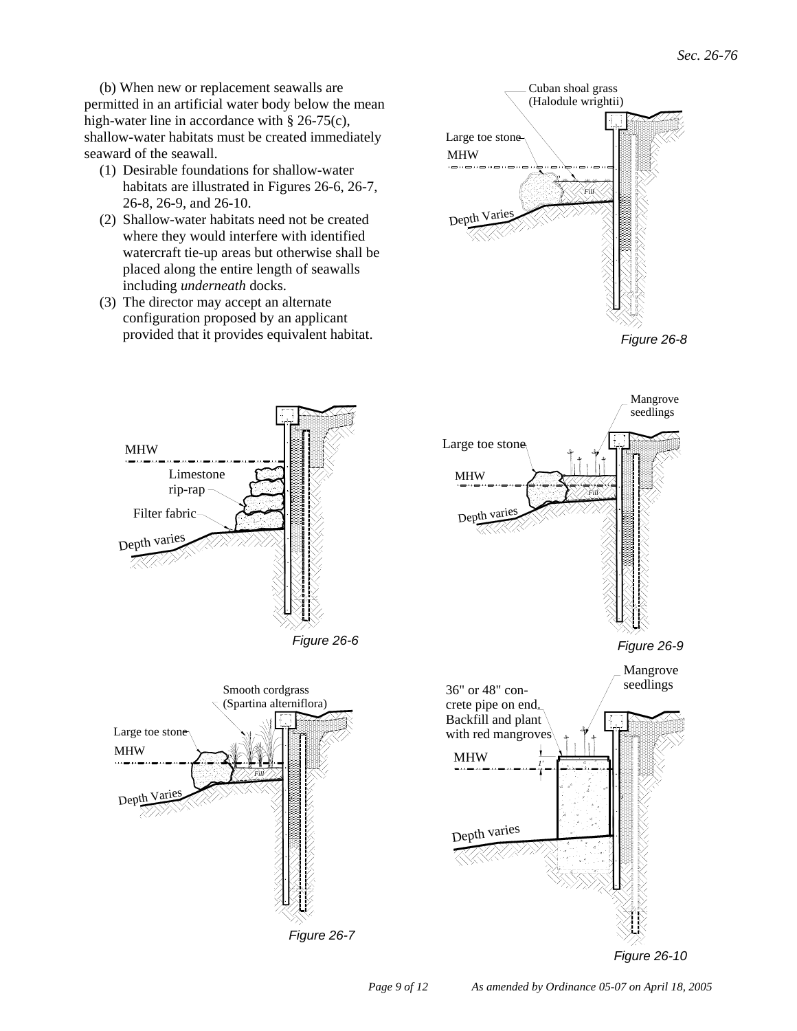(b) When new or replacement seawalls are permitted in an artificial water body below the mean high-water line in accordance with § 26-75(c), shallow-water habitats must be created immediately seaward of the seawall.

- (1) Desirable foundations for shallow-water habitats are illustrated in Figures 26-6, 26-7, 26-8, 26-9, and 26-10.
- (2) Shallow-water habitats need not be created where they would interfere with identified watercraft tie-up areas but otherwise shall be placed along the entire length of seawalls including *underneath* docks.
- (3) The director may accept an alternate configuration proposed by an applicant provided that it provides equivalent habitat.



Large toe stone

*Figure 26-8*

Mangrove seedlings



*Fill*

*Figure 26-7*

MHW

Large toe stone

 $Depth$ 



*Figure 26-10*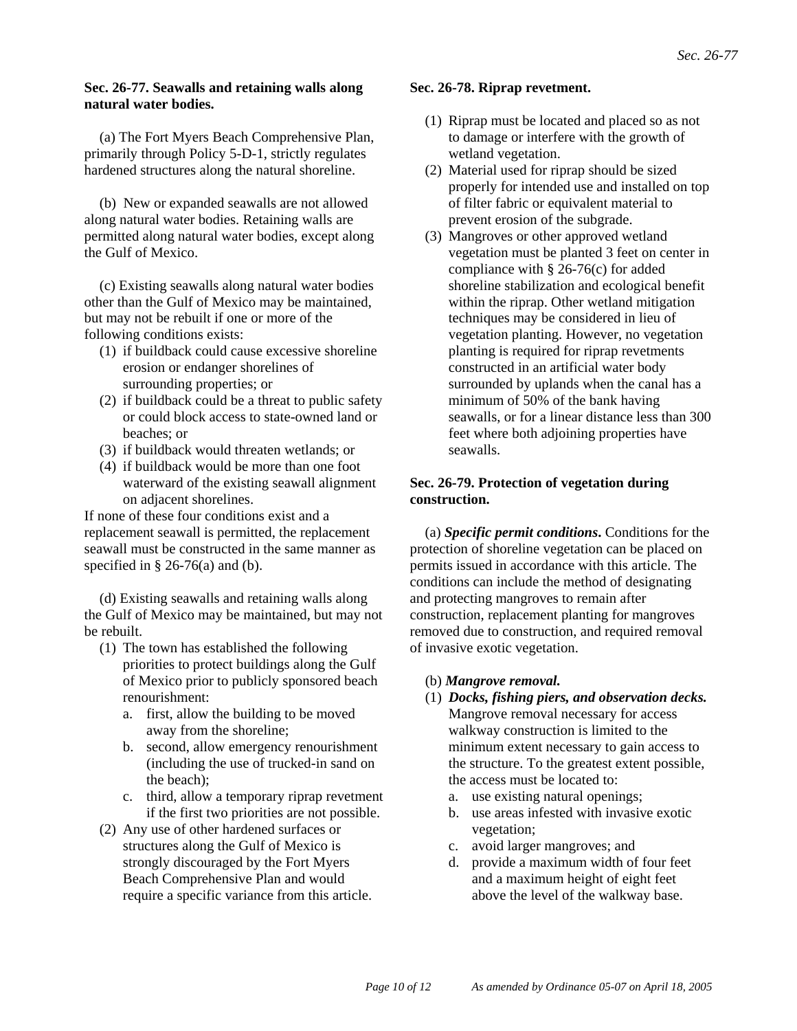## **Sec. 26-77. Seawalls and retaining walls along natural water bodies.**

(a) The Fort Myers Beach Comprehensive Plan, primarily through Policy 5-D-1, strictly regulates hardened structures along the natural shoreline.

(b) New or expanded seawalls are not allowed along natural water bodies. Retaining walls are permitted along natural water bodies, except along the Gulf of Mexico.

(c) Existing seawalls along natural water bodies other than the Gulf of Mexico may be maintained, but may not be rebuilt if one or more of the following conditions exists:

- (1) if buildback could cause excessive shoreline erosion or endanger shorelines of surrounding properties; or
- (2) if buildback could be a threat to public safety or could block access to state-owned land or beaches; or
- (3) if buildback would threaten wetlands; or
- (4) if buildback would be more than one foot waterward of the existing seawall alignment on adjacent shorelines.

If none of these four conditions exist and a replacement seawall is permitted, the replacement seawall must be constructed in the same manner as specified in  $\S$  26-76(a) and (b).

(d) Existing seawalls and retaining walls along the Gulf of Mexico may be maintained, but may not be rebuilt.

- (1) The town has established the following priorities to protect buildings along the Gulf of Mexico prior to publicly sponsored beach renourishment:
	- a. first, allow the building to be moved away from the shoreline;
	- b. second, allow emergency renourishment (including the use of trucked-in sand on the beach);
	- c. third, allow a temporary riprap revetment if the first two priorities are not possible.
- (2) Any use of other hardened surfaces or structures along the Gulf of Mexico is strongly discouraged by the Fort Myers Beach Comprehensive Plan and would require a specific variance from this article.

#### **Sec. 26-78. Riprap revetment.**

- (1) Riprap must be located and placed so as not to damage or interfere with the growth of wetland vegetation.
- (2) Material used for riprap should be sized properly for intended use and installed on top of filter fabric or equivalent material to prevent erosion of the subgrade.
- (3) Mangroves or other approved wetland vegetation must be planted 3 feet on center in compliance with § 26-76(c) for added shoreline stabilization and ecological benefit within the riprap. Other wetland mitigation techniques may be considered in lieu of vegetation planting. However, no vegetation planting is required for riprap revetments constructed in an artificial water body surrounded by uplands when the canal has a minimum of 50% of the bank having seawalls, or for a linear distance less than 300 feet where both adjoining properties have seawalls.

# **Sec. 26-79. Protection of vegetation during construction.**

(a) *Specific permit conditions***.** Conditions for the protection of shoreline vegetation can be placed on permits issued in accordance with this article. The conditions can include the method of designating and protecting mangroves to remain after construction, replacement planting for mangroves removed due to construction, and required removal of invasive exotic vegetation.

## (b) *Mangrove removal.*

- (1) *Docks, fishing piers, and observation decks.* Mangrove removal necessary for access walkway construction is limited to the minimum extent necessary to gain access to the structure. To the greatest extent possible, the access must be located to:
	- a. use existing natural openings;
	- b. use areas infested with invasive exotic vegetation;
	- c. avoid larger mangroves; and
	- d. provide a maximum width of four feet and a maximum height of eight feet above the level of the walkway base.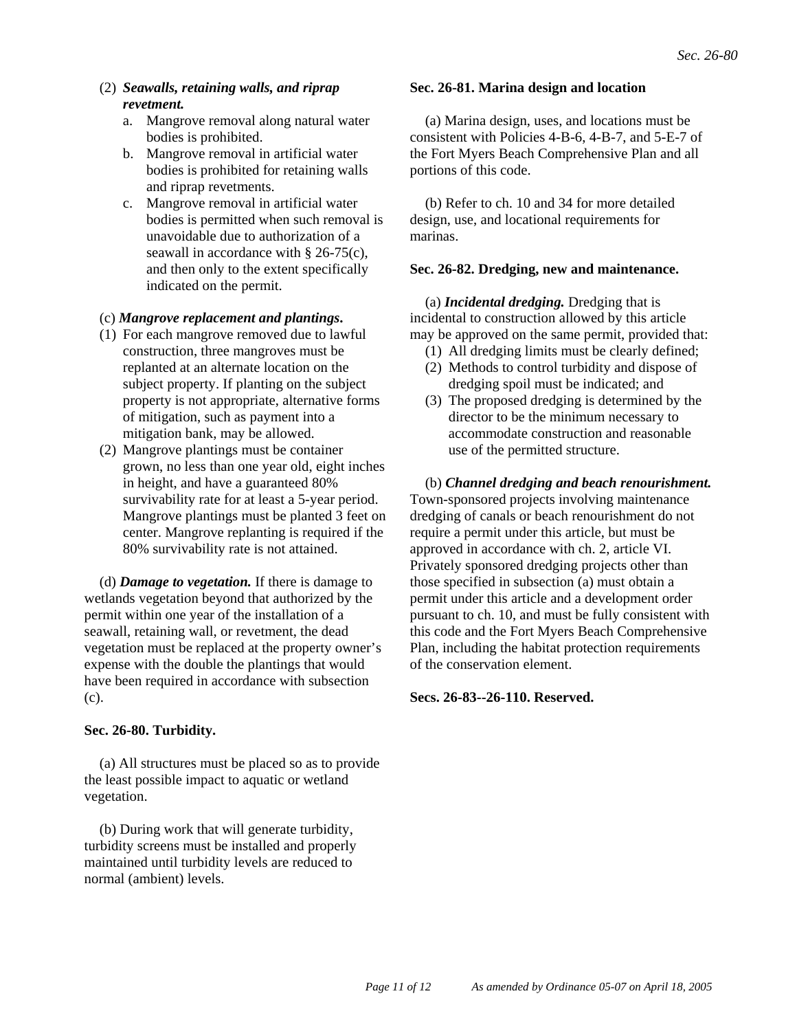- (2) *Seawalls, retaining walls, and riprap revetment.*
	- a. Mangrove removal along natural water bodies is prohibited.
	- b. Mangrove removal in artificial water bodies is prohibited for retaining walls and riprap revetments.
	- c. Mangrove removal in artificial water bodies is permitted when such removal is unavoidable due to authorization of a seawall in accordance with  $\frac{8}{26}$ -75(c). and then only to the extent specifically indicated on the permit.

#### (c) *Mangrove replacement and plantings***.**

- (1) For each mangrove removed due to lawful construction, three mangroves must be replanted at an alternate location on the subject property. If planting on the subject property is not appropriate, alternative forms of mitigation, such as payment into a mitigation bank, may be allowed.
- (2) Mangrove plantings must be container grown, no less than one year old, eight inches in height, and have a guaranteed 80% survivability rate for at least a 5-year period. Mangrove plantings must be planted 3 feet on center. Mangrove replanting is required if the 80% survivability rate is not attained.

(d) *Damage to vegetation.* If there is damage to wetlands vegetation beyond that authorized by the permit within one year of the installation of a seawall, retaining wall, or revetment, the dead vegetation must be replaced at the property owner's expense with the double the plantings that would have been required in accordance with subsection (c).

## **Sec. 26-80. Turbidity.**

(a) All structures must be placed so as to provide the least possible impact to aquatic or wetland vegetation.

(b) During work that will generate turbidity, turbidity screens must be installed and properly maintained until turbidity levels are reduced to normal (ambient) levels.

#### **Sec. 26-81. Marina design and location**

(a) Marina design, uses, and locations must be consistent with Policies 4-B-6, 4-B-7, and 5-E-7 of the Fort Myers Beach Comprehensive Plan and all portions of this code.

(b) Refer to ch. 10 and 34 for more detailed design, use, and locational requirements for marinas.

#### **Sec. 26-82. Dredging, new and maintenance.**

(a) *Incidental dredging.* Dredging that is incidental to construction allowed by this article may be approved on the same permit, provided that:

- (1) All dredging limits must be clearly defined;
- (2) Methods to control turbidity and dispose of dredging spoil must be indicated; and
- (3) The proposed dredging is determined by the director to be the minimum necessary to accommodate construction and reasonable use of the permitted structure.

(b) *Channel dredging and beach renourishment.* Town-sponsored projects involving maintenance dredging of canals or beach renourishment do not require a permit under this article, but must be approved in accordance with ch. 2, article VI. Privately sponsored dredging projects other than those specified in subsection (a) must obtain a permit under this article and a development order pursuant to ch. 10, and must be fully consistent with this code and the Fort Myers Beach Comprehensive Plan, including the habitat protection requirements of the conservation element.

#### **Secs. 26-83--26-110. Reserved.**